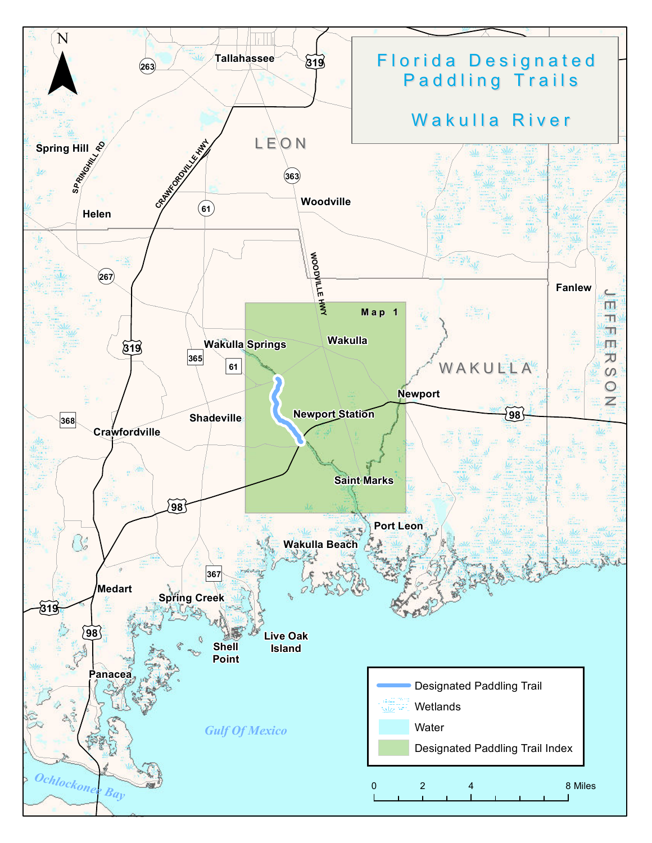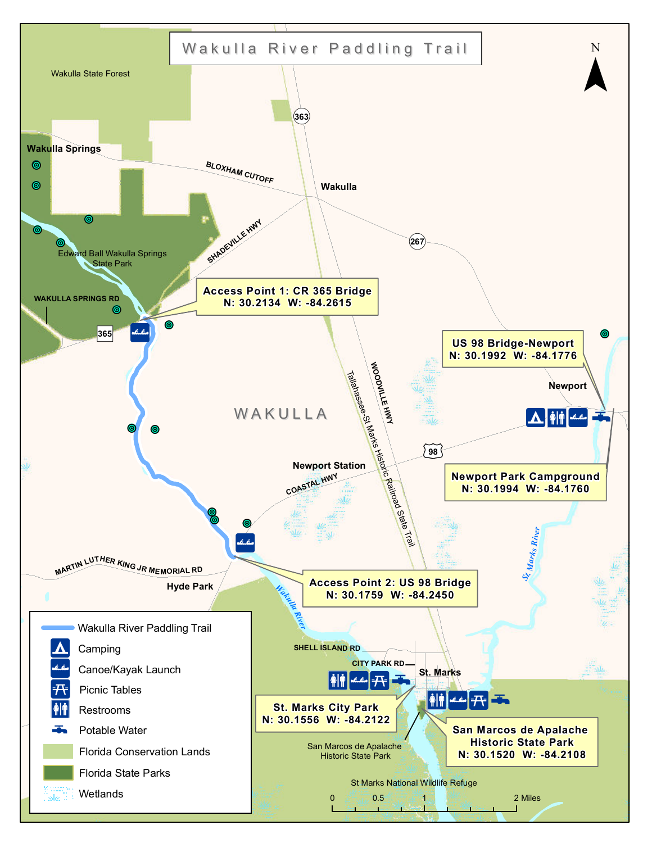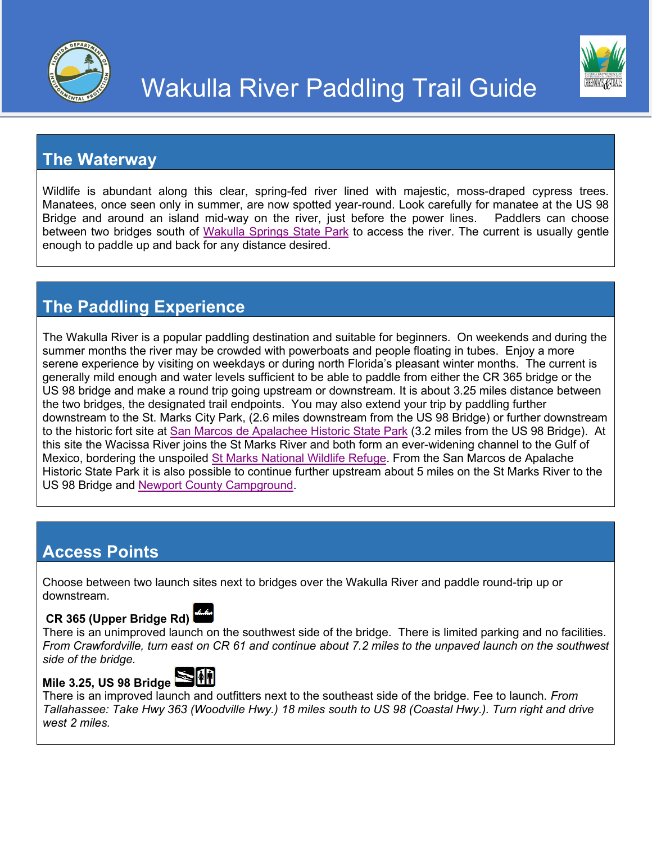



## **The Waterway**

Wildlife is abundant along this clear, spring-fed river lined with majestic, moss-draped cypress trees. Manatees, once seen only in summer, are now spotted year-round. Look carefully for manatee at the US 98 Bridge and around an island mid-way on the river, just before the power lines. Paddlers can choose between two bridges south of [Wakulla Springs State Park](https://www.floridastateparks.org/parks-and-trails/edward-ball-wakulla-springs-state-park) to access the river. The current is usually gentle enough to paddle up and back for any distance desired.

## **The Paddling Experience**

The Wakulla River is a popular paddling destination and suitable for beginners. On weekends and during the summer months the river may be crowded with powerboats and people floating in tubes. Enjoy a more serene experience by visiting on weekdays or during north Florida's pleasant winter months. The current is generally mild enough and water levels sufficient to be able to paddle from either the CR 365 bridge or the US 98 bridge and make a round trip going upstream or downstream. It is about 3.25 miles distance between the two bridges, the designated trail endpoints. You may also extend your trip by paddling further downstream to the St. Marks City Park, (2.6 miles downstream from the US 98 Bridge) or further downstream to the historic fort site at [San Marcos de Apalachee Historic State Park](https://www.floridastateparks.org/parks-and-trails/san-marcos-de-apalache-historic-state-park) (3.2 miles from the US 98 Bridge). At this site the Wacissa River joins the St Marks River and both form an ever-widening channel to the Gulf of Mexico, bordering the unspoiled St Marks [National Wildlife Refuge.](http://www.fws.gov/refuge/st_marks/) From the San Marcos de Apalache Historic State Park it is also possible to continue further upstream about 5 miles on the St Marks River to the US 98 Bridge and Newport [County Campground.](http://www.mywakulla.com/departments/parks/newport_campground.php)

### **Access Points**

Choose between two launch sites next to bridges over the Wakulla River and paddle round-trip up or downstream.

#### **CR 365 (Upper Bridge Rd)**



There is an unimproved launch on the southwest side of the bridge. There is limited parking and no facilities. *From Crawfordville, turn east on CR 61 and continue about 7.2 miles to the unpaved launch on the southwest side of the bridge.*

#### **Mile 3.25, US 98 Bridge**



There is an improved launch and outfitters next to the southeast side of the bridge. Fee to launch. *From Tallahassee: Take Hwy 363 (Woodville Hwy.) 18 miles south to US 98 (Coastal Hwy.). Turn right and drive west 2 miles.*